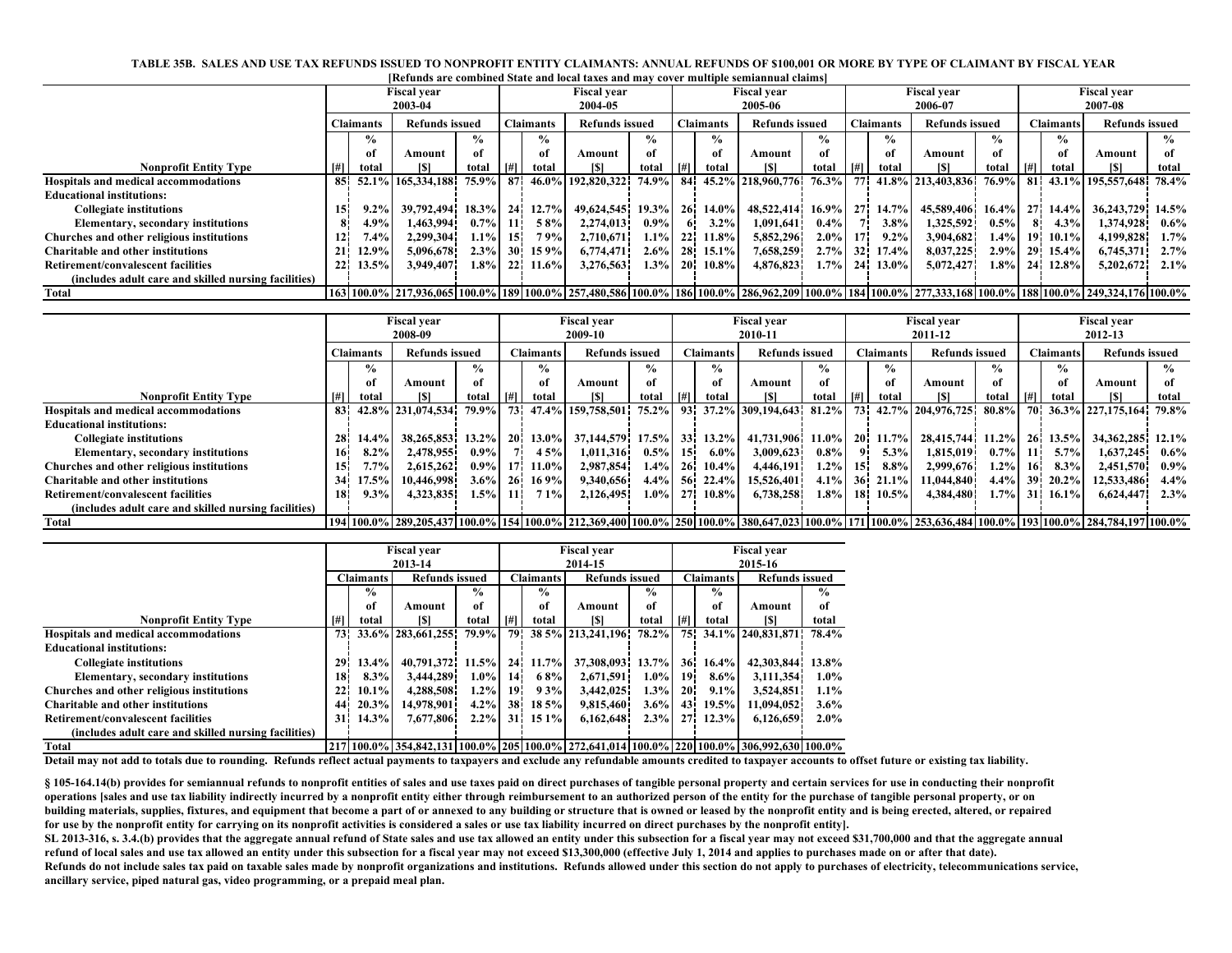| [Refunds are combined State and local taxes and may cover multiple semiannual claims] |                                           |                  |                                                                                                                                                   |               |                  |                    |                       |               |                  |                       |                         |                  |                    |                       |                       |               |                    |                       |                       |               |  |
|---------------------------------------------------------------------------------------|-------------------------------------------|------------------|---------------------------------------------------------------------------------------------------------------------------------------------------|---------------|------------------|--------------------|-----------------------|---------------|------------------|-----------------------|-------------------------|------------------|--------------------|-----------------------|-----------------------|---------------|--------------------|-----------------------|-----------------------|---------------|--|
|                                                                                       |                                           |                  | <b>Fiscal vear</b>                                                                                                                                |               | Fiscal vear      |                    |                       |               |                  | <b>Fiscal vear</b>    |                         |                  |                    | <b>Fiscal vear</b>    |                       |               |                    | <b>Fiscal vear</b>    |                       |               |  |
|                                                                                       | 2003-04                                   |                  |                                                                                                                                                   |               |                  | 2004-05            |                       |               |                  | 2005-06               |                         |                  |                    | 2006-07               |                       |               |                    | 2007-08               |                       |               |  |
|                                                                                       |                                           | <b>Claimants</b> | <b>Refunds issued</b>                                                                                                                             |               | <b>Claimants</b> |                    | <b>Refunds issued</b> |               | <b>Claimants</b> |                       | <b>Refunds issued</b>   |                  | <b>Claimants</b>   |                       | <b>Refunds issued</b> |               | Claimants          |                       | <b>Refunds issued</b> |               |  |
|                                                                                       |                                           | $\frac{6}{9}$    |                                                                                                                                                   | $\frac{6}{9}$ |                  | $\frac{6}{9}$      |                       | $\frac{0}{0}$ |                  | $\frac{6}{10}$        |                         | %                |                    | $\frac{0}{0}$         |                       | $\frac{0}{0}$ |                    | $\frac{0}{0}$         |                       | $\frac{0}{0}$ |  |
|                                                                                       |                                           | оf               | Amount                                                                                                                                            | of            |                  | -of                | Amount                | of            |                  | of                    | Amount                  | лf               |                    | of                    | Amount                | of            |                    | of                    | Amount                | оf            |  |
| <b>Nonprofit Entity Type</b>                                                          |                                           | total            | [\$]                                                                                                                                              | total         | [#]              | total              | [\$]                  | total         | #                | total                 | [\$]                    | total            | H                  | total                 | ISI                   | total         | $\lceil # \rceil$  | total                 | [\$]                  | total         |  |
| Hospitals and medical accommodations                                                  | -85                                       | 52.1%            | 165,334,188                                                                                                                                       | 75.9% 87      |                  | 46.0%              | 192,820,322           | 74.9%         | -84 i            |                       | 45.2% 218,960,776 76.3% |                  |                    |                       | 77 41.8% 213,403,836  | 76.9%         | - 81 i             |                       | 43.1% 195,557,648     | 78.4%         |  |
| <b>Educational institutions:</b>                                                      |                                           |                  |                                                                                                                                                   |               |                  |                    |                       |               |                  |                       |                         |                  |                    |                       |                       |               |                    |                       |                       |               |  |
| <b>Collegiate institutions</b>                                                        | 15                                        | 9.2%             | 39,792,494                                                                                                                                        |               |                  | 18.3% 24 12.7%     | 49,624,545 19.3%      |               |                  | 26 14.0%              | 48,522,414 16.9%        |                  |                    | 27 14.7%              | 45,589,406 16.4%      |               |                    | 27 14.4%              | 36,243,729            | 14.5%         |  |
| <b>Elementary, secondary institutions</b>                                             |                                           | $4.9\%$          | 1,463,994                                                                                                                                         | $0.7\%$ 11    |                  | 58%                | 2,274,013             | $0.9\%$       | 61               | $3.2\%$               | 1,091,641               | 0.4%             |                    | 3.8%                  | 1,325,592             | 0.5%          |                    | 4.3%                  | 1,374,928             | $0.6\%$       |  |
| Churches and other religious institutions                                             |                                           | 7.4%             | 2,299,304                                                                                                                                         | $1.1\%$ 15    |                  | 79%                | 2,710,671             | $1.1\%$       |                  | 22 11.8%              | 5,852,296               | $2.0\%$          | 17 <sup>1</sup>    | $9.2\%$               | 3,904,682             | 1.4%          | -191               | $10.1\%$              | 4,199,828             | 1.7%          |  |
| Charitable and other institutions                                                     | 21 <sup>1</sup>                           | 12.9%            | 5,096,678                                                                                                                                         | $2.3\%$ 30    |                  | 15 9%              | 6,774,471             | $2.6\%$       |                  | 28 15.1%              | 7,658,259               | $2.7\%$          | 32 <sup>1</sup>    | 17.4%                 | 8,037,225             | 2.9%          |                    | 29 15.4%              | 6,745,371             | 2.7%          |  |
| <b>Retirement/convalescent facilities</b>                                             | 22 <sub>1</sub>                           | 13.5%            | 3,949,407                                                                                                                                         |               |                  | $1.8\%$ 22 11.6%   | 3,276,563             | $1.3\%$       |                  | $20 \quad 10.8\%$     | 4,876,823               | 1.7%             | <b>24</b>          | 13.0%                 | 5,072,427             | 1.8%          |                    | 24 12.8%              | 5,202,672             | $2.1\%$       |  |
| (includes adult care and skilled nursing facilities)                                  |                                           |                  |                                                                                                                                                   |               |                  |                    |                       |               |                  |                       |                         |                  |                    |                       |                       |               |                    |                       |                       |               |  |
| <b>Total</b>                                                                          |                                           |                  | 160100% 17.936.065 100.0% 189 100.0% 257.480.586 100.0% 186 100.0% 286.962.209 100.0% 184 100.0% 277.333.168 100.0% 188 100.0% 249.324.176 100.0% |               |                  |                    |                       |               |                  |                       |                         |                  |                    |                       |                       |               |                    |                       |                       |               |  |
|                                                                                       |                                           |                  |                                                                                                                                                   |               |                  |                    |                       |               |                  |                       |                         |                  |                    |                       |                       |               |                    |                       |                       |               |  |
|                                                                                       | <b>Fiscal year</b>                        |                  |                                                                                                                                                   |               |                  | <b>Fiscal year</b> |                       |               |                  | <b>Fiscal year</b>    |                         |                  | <b>Fiscal vear</b> |                       |                       |               | <b>Fiscal year</b> |                       |                       |               |  |
|                                                                                       | 2008-09                                   |                  |                                                                                                                                                   |               | 2009-10          |                    |                       |               | 2010-11          |                       |                         | 2011-12          |                    |                       |                       | 2012-13       |                    |                       |                       |               |  |
|                                                                                       | <b>Refunds issued</b><br><b>Claimants</b> |                  |                                                                                                                                                   |               | <b>Claimants</b> |                    | <b>Refunds issued</b> |               | <b>Claimants</b> | <b>Refunds issued</b> |                         | <b>Claimants</b> |                    | <b>Refunds issued</b> |                       | Claimants     |                    | <b>Refunds issued</b> |                       |               |  |
|                                                                                       |                                           | $\frac{0}{0}$    |                                                                                                                                                   | $\frac{6}{9}$ |                  | $\%$               |                       | $\frac{0}{0}$ |                  | $\frac{6}{10}$        |                         | %                |                    | $\frac{0}{0}$         |                       | $\frac{6}{9}$ |                    | $\frac{6}{10}$        |                       | $\frac{0}{0}$ |  |
|                                                                                       |                                           | оf               | Amount                                                                                                                                            | of            |                  | -of                | Amount                | of            |                  | оf                    | Amount                  | оf               |                    | of                    | Amount                | of            |                    | of                    | Amount                | оf            |  |
| <b>Nonprofit Entity Type</b>                                                          | #                                         | total            | [\$]                                                                                                                                              | total         | [#]              | total              | <b>SI</b>             | total         | [#]              | total                 | [S]                     | total            | $\vert$ [#]        | total                 | [\$]                  | total         | $\lceil # \rceil$  | total                 | [\$]                  | total         |  |

Hospitals and medical accommodations 83 42.8% 231,074,534 79.9% 73 47.4% 159,758,501 75.2% 93 37.2% 309,194,643 81.2% 73 42.7% 204,976,725 80.8% 70 36.3% 227,175,164 79.8%

12.0% 13.3% 13.2% 14.9% 14.9% 13.2% 13.2% 13.2% 13.2% 13.2% 13.2% 13.2% 13.2% 14.579 17.5% 13.2% 14.731,906 11.0% 10 11.7% 13.4% 16.744 11.2% 16.13.5% 13.3% 13.3% 13.3% 13.2% 14.9% 16.1% 16.1% 17.5% 17.4% 17.5% 17.4% 17.5% Elementary, secondary institutions (16 8.2% 2,478,955 0.9% 7 45% 1,011,316 0.5% 15 6.0% 3,009,623 0.8% 9 5.3% 1,815,019 0.7% 11 5.7% 1,637,245 0.6%<br>Ches and other religious institutions (2.51.57%) 2.615.262 0.9% 17 11.0% 2 Churches and other religious institutions 15 1.5% 10.446,998 16 1.4% 17 11.0% 2,987,854 1.4% 26 10.4% 4,446,191 1.2% 15 8.8% 2,999,676 1.2% 16 8.3% 2,451,570 0.9% 16 8.3% 2,451,570 0.9% 16 8.3% 2,451,570 0.9% 11,644,998 1. Charitable and other institutions 34 17.5% 10,446,998 3.6% 26 169% 9,340,656 4.4% 56 22.4% 15,526,401 4.1% 36 21.1% 11,044,840 4.4% 39 20.2% 12,533,486 4.4% 39 20.2% 12,533,486 4.4% 18 20.2% 13,533,486 4.4% 18 20.2% 18 20. Retirement/convalescent facilities 18 2.3% 18 3.3% 1.3% 1.3% 1.5% 11 71% 2.126.495 1.0% 27 10.8% 6.738.258 1.8% 18 10.5% 4.384.480 1.7% 31 16.1% 6.624.447 2.3%

Total 100.0% 1284,784,197 100.0% 289,205,437 100.0% 1254 100.0% 212,369,400 100.0% 250 100.0% 380,647,023 100.0% 261 171 100.0% 253,636,484 100.0% 2123,636,484 100.0% 253,636,484 100.0% 253,636,484 100.0% 284,784,197 100.0

| TABLE 35B. SALES AND USE TAX REFUNDS ISSUED TO NONPROFIT ENTITY CLAIMANTS: ANNUAL REFUNDS OF \$100.001 OR MORE BY TYPE OF CLAIMANT BY FISCAL YEAR |
|---------------------------------------------------------------------------------------------------------------------------------------------------|
| <b>IRefunds are combined State and local taxes and may cover multiple semiannual claims</b>                                                       |

|                                                      |                 |                  | <b>Fiscal vear</b>    |               |                  |                       | <b>Fiscal vear</b>                                                                                   |                  | <b>Fiscal vear</b>    |               |                   |               |  |
|------------------------------------------------------|-----------------|------------------|-----------------------|---------------|------------------|-----------------------|------------------------------------------------------------------------------------------------------|------------------|-----------------------|---------------|-------------------|---------------|--|
|                                                      | 2013-14         |                  |                       |               |                  |                       | 2014-15                                                                                              |                  | 2015-16               |               |                   |               |  |
|                                                      |                 | <b>Claimants</b> | <b>Refunds issued</b> |               | <b>Claimants</b> | <b>Refunds issued</b> |                                                                                                      | <b>Claimants</b> | <b>Refunds issued</b> |               |                   |               |  |
|                                                      |                 | $\frac{0}{0}$    |                       | $\frac{6}{9}$ |                  | $\frac{6}{9}$         |                                                                                                      | $\frac{0}{0}$    |                       | $\frac{6}{9}$ |                   | $\frac{0}{0}$ |  |
|                                                      |                 | of               | Amount                | of            |                  | of                    | Amount                                                                                               | оf               |                       | of            | Amount            | оf            |  |
| <b>Nonprofit Entity Type</b>                         | $[#]$           | total            | <b>SI</b>             | total         | [#]              | total                 | <b>ISI</b>                                                                                           | total            | [#]                   | total         | <b>SI</b>         | total         |  |
| Hospitals and medical accommodations                 | 73 <sub>1</sub> |                  | 33.6% 283.661.255     | 79.9%         | 79.              |                       | 38 5% 213.241.196                                                                                    | 78.2%            | 75.                   |               | 34.1% 240,831,871 | 78.4%         |  |
| <b>Educational institutions:</b>                     |                 |                  |                       |               |                  |                       |                                                                                                      |                  |                       |               |                   |               |  |
| <b>Collegiate institutions</b>                       | 29              | 13.4%            | 40.791.372            | 11.5%         | 24.              | 11.7%                 | 37,308,093                                                                                           | 13.7%            | <b>36</b>             | 16.4%         | 42,303,844        | 13.8%         |  |
| <b>Elementary, secondary institutions</b>            | 18              | $8.3\%$          | 3.444.289             | $1.0\%$       | 14I              | 68%                   | 2.671.591                                                                                            | $1.0\%$          | 19i                   | $8.6\%$       | 3.111.354         | $1.0\%$       |  |
| Churches and other religious institutions            | 22 <sub>1</sub> | $10.1\%$         | 4,288,508             | $1.2\%$       | 19.              | 93%                   | 3,442,025                                                                                            | 1.3%             | <b>20</b>             | 9.1%          | 3,524,851         | $1.1\%$       |  |
| Charitable and other institutions                    | -44             | 20.3%            | 14.978.901            | 4.2%          | 38.              | 18 5%                 | 9,815,460                                                                                            | $3.6\%$          | 431                   | 19.5%         | 11.094.052        | $3.6\%$       |  |
| Retirement/convalescent facilities                   | 31              | 14.3%            | 7.677.806             | $2.2\%$       |                  | 31 15 1%              | 6,162,648                                                                                            | 2.3%             | 27 <sup>1</sup>       | 12.3%         | 6,126,659         | $2.0\%$       |  |
| (includes adult care and skilled nursing facilities) |                 |                  |                       |               |                  |                       |                                                                                                      |                  |                       |               |                   |               |  |
| <b>Total</b>                                         |                 |                  |                       |               |                  |                       | 217  100.0%  354,842,131  100.0%  205  100.0%  272,641,014  100.0%  220  100.0%  306,992,630  100.0% |                  |                       |               |                   |               |  |

**Educational institutions:**

 **(includes adult care and skilled nursing facilities)**

**Detail may not add to totals due to rounding. Refunds reflect actual payments to taxpayers and exclude any refundable amounts credited to taxpayer accounts to offset future or existing tax liability.** 

**§ 105-164.14(b) provides for semiannual refunds to nonprofit entities of sales and use taxes paid on direct purchases of tangible personal property and certain services for use in conducting their nonprofit operations [sales and use tax liability indirectly incurred by a nonprofit entity either through reimbursement to an authorized person of the entity for the purchase of tangible personal property, or on building materials, supplies, fixtures, and equipment that become a part of or annexed to any building or structure that is owned or leased by the nonprofit entity and is being erected, altered, or repaired for use by the nonprofit entity for carrying on its nonprofit activities is considered a sales or use tax liability incurred on direct purchases by the nonprofit entity].**

**SL 2013-316, s. 3.4.(b) provides that the aggregate annual refund of State sales and use tax allowed an entity under this subsection for a fiscal year may not exceed \$31,700,000 and that the aggregate annual refund of local sales and use tax allowed an entity under this subsection for a fiscal year may not exceed \$13,300,000 (effective July 1, 2014 and applies to purchases made on or after that date).** Refunds do not include sales tax paid on taxable sales made by nonprofit organizations and institutions. Refunds allowed under this section do not apply to purchases of electricity, telecommunications service, **ancillary service, piped natural gas, video programming, or a prepaid meal plan.**